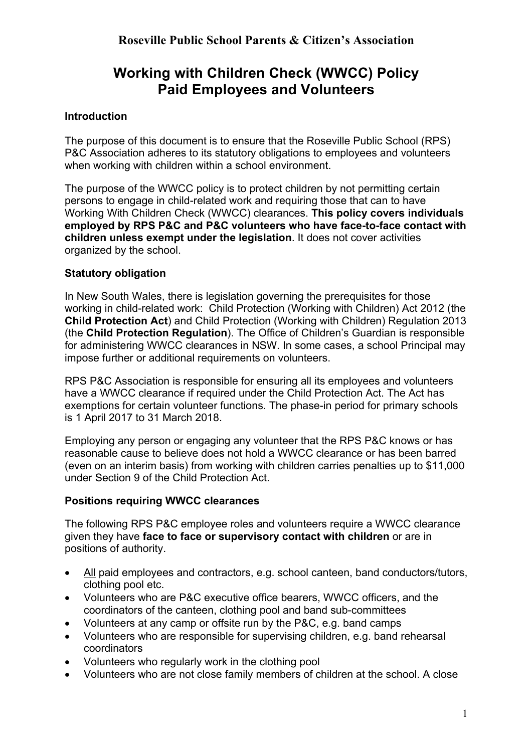# **Working with Children Check (WWCC) Policy Paid Employees and Volunteers**

# **Introduction**

The purpose of this document is to ensure that the Roseville Public School (RPS) P&C Association adheres to its statutory obligations to employees and volunteers when working with children within a school environment.

The purpose of the WWCC policy is to protect children by not permitting certain persons to engage in child-related work and requiring those that can to have Working With Children Check (WWCC) clearances. **This policy covers individuals employed by RPS P&C and P&C volunteers who have face-to-face contact with children unless exempt under the legislation**. It does not cover activities organized by the school.

## **Statutory obligation**

In New South Wales, there is legislation governing the prerequisites for those working in child-related work: Child Protection (Working with Children) Act 2012 (the **Child Protection Act**) and Child Protection (Working with Children) Regulation 2013 (the **Child Protection Regulation**). The Office of Children's Guardian is responsible for administering WWCC clearances in NSW. In some cases, a school Principal may impose further or additional requirements on volunteers.

RPS P&C Association is responsible for ensuring all its employees and volunteers have a WWCC clearance if required under the Child Protection Act. The Act has exemptions for certain volunteer functions. The phase-in period for primary schools is 1 April 2017 to 31 March 2018.

Employing any person or engaging any volunteer that the RPS P&C knows or has reasonable cause to believe does not hold a WWCC clearance or has been barred (even on an interim basis) from working with children carries penalties up to \$11,000 under Section 9 of the Child Protection Act.

## **Positions requiring WWCC clearances**

The following RPS P&C employee roles and volunteers require a WWCC clearance given they have **face to face or supervisory contact with children** or are in positions of authority.

- All paid employees and contractors, e.g. school canteen, band conductors/tutors, clothing pool etc.
- Volunteers who are P&C executive office bearers, WWCC officers, and the coordinators of the canteen, clothing pool and band sub-committees
- Volunteers at any camp or offsite run by the P&C, e.g. band camps
- Volunteers who are responsible for supervising children, e.g. band rehearsal coordinators
- Volunteers who regularly work in the clothing pool
- Volunteers who are not close family members of children at the school. A close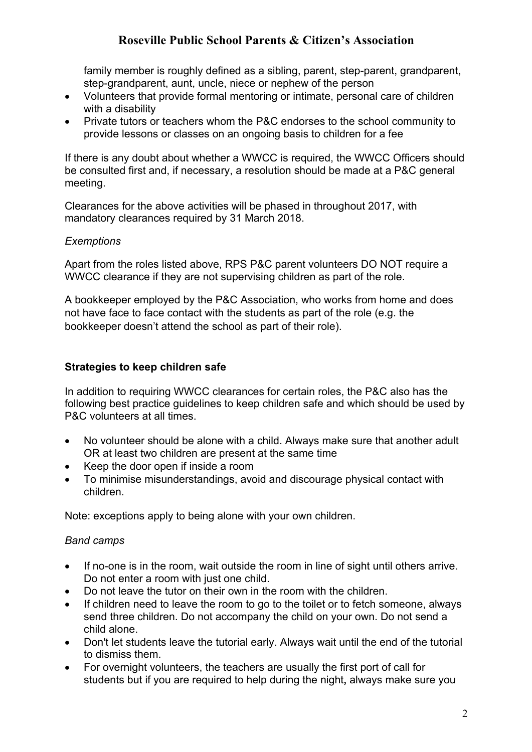family member is roughly defined as a sibling, parent, step-parent, grandparent, step-grandparent, aunt, uncle, niece or nephew of the person

- Volunteers that provide formal mentoring or intimate, personal care of children with a disability
- Private tutors or teachers whom the P&C endorses to the school community to provide lessons or classes on an ongoing basis to children for a fee

If there is any doubt about whether a WWCC is required, the WWCC Officers should be consulted first and, if necessary, a resolution should be made at a P&C general meeting.

Clearances for the above activities will be phased in throughout 2017, with mandatory clearances required by 31 March 2018.

#### *Exemptions*

Apart from the roles listed above, RPS P&C parent volunteers DO NOT require a WWCC clearance if they are not supervising children as part of the role.

A bookkeeper employed by the P&C Association, who works from home and does not have face to face contact with the students as part of the role (e.g. the bookkeeper doesn't attend the school as part of their role).

## **Strategies to keep children safe**

In addition to requiring WWCC clearances for certain roles, the P&C also has the following best practice guidelines to keep children safe and which should be used by P&C volunteers at all times.

- No volunteer should be alone with a child. Always make sure that another adult OR at least two children are present at the same time
- Keep the door open if inside a room
- To minimise misunderstandings, avoid and discourage physical contact with children.

Note: exceptions apply to being alone with your own children.

## *Band camps*

- If no-one is in the room, wait outside the room in line of sight until others arrive. Do not enter a room with just one child.
- Do not leave the tutor on their own in the room with the children.
- If children need to leave the room to go to the toilet or to fetch someone, always send three children. Do not accompany the child on your own. Do not send a child alone.
- Don't let students leave the tutorial early. Always wait until the end of the tutorial to dismiss them.
- For overnight volunteers, the teachers are usually the first port of call for students but if you are required to help during the night**,** always make sure you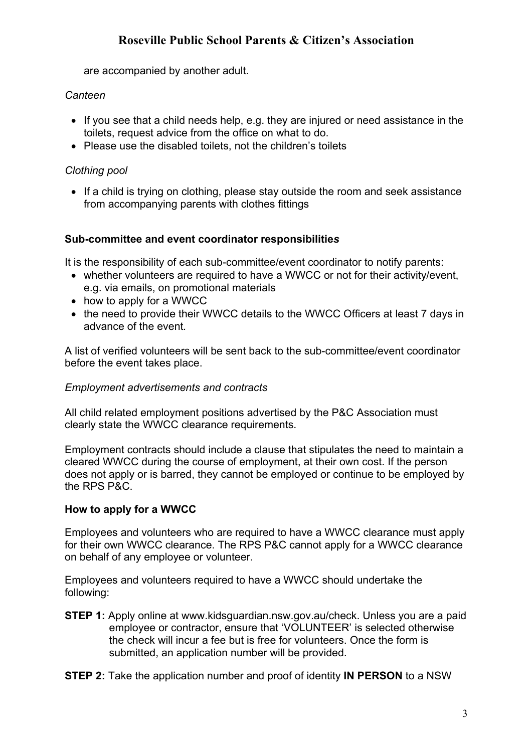are accompanied by another adult.

### *Canteen*

- If you see that a child needs help, e.g. they are injured or need assistance in the toilets, request advice from the office on what to do.
- Please use the disabled toilets, not the children's toilets

# *Clothing pool*

• If a child is trying on clothing, please stay outside the room and seek assistance from accompanying parents with clothes fittings

#### **Sub-committee and event coordinator responsibilitie***s*

It is the responsibility of each sub-committee/event coordinator to notify parents:

- whether volunteers are required to have a WWCC or not for their activity/event, e.g. via emails, on promotional materials
- how to apply for a WWCC
- the need to provide their WWCC details to the WWCC Officers at least 7 days in advance of the event*.*

A list of verified volunteers will be sent back to the sub-committee/event coordinator before the event takes place.

#### *Employment advertisements and contracts*

All child related employment positions advertised by the P&C Association must clearly state the WWCC clearance requirements.

Employment contracts should include a clause that stipulates the need to maintain a cleared WWCC during the course of employment, at their own cost. If the person does not apply or is barred, they cannot be employed or continue to be employed by the RPS P&C.

## **How to apply for a WWCC**

Employees and volunteers who are required to have a WWCC clearance must apply for their own WWCC clearance. The RPS P&C cannot apply for a WWCC clearance on behalf of any employee or volunteer.

Employees and volunteers required to have a WWCC should undertake the following:

**STEP 1:** Apply online at www.kidsguardian.nsw.gov.au/check. Unless you are a paid employee or contractor, ensure that 'VOLUNTEER' is selected otherwise the check will incur a fee but is free for volunteers. Once the form is submitted, an application number will be provided.

**STEP 2:** Take the application number and proof of identity **IN PERSON** to a NSW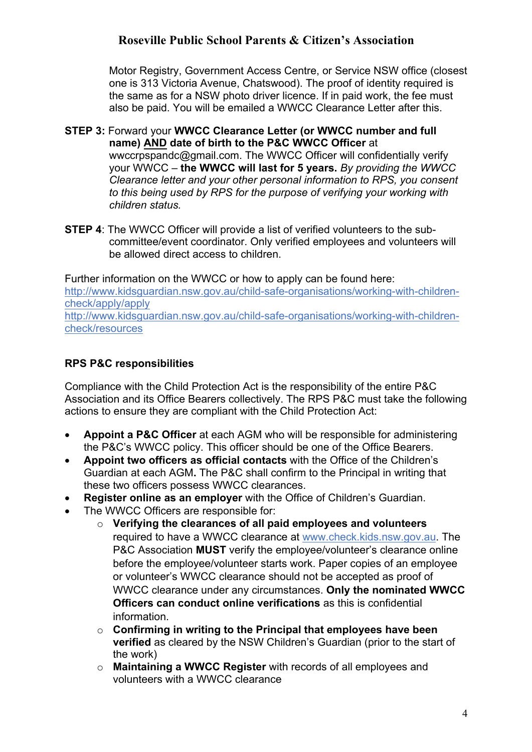Motor Registry, Government Access Centre, or Service NSW office (closest one is 313 Victoria Avenue, Chatswood). The proof of identity required is the same as for a NSW photo driver licence. If in paid work, the fee must also be paid. You will be emailed a WWCC Clearance Letter after this.

#### **STEP 3:** Forward your **WWCC Clearance Letter (or WWCC number and full name) AND date of birth to the P&C WWCC Officer** at wwccrpspandc@gmail.com. The WWCC Officer will confidentially verify your WWCC – **the WWCC will last for 5 years.** *By providing the WWCC Clearance letter and your other personal information to RPS, you consent to this being used by RPS for the purpose of verifying your working with children status.*

**STEP 4**: The WWCC Officer will provide a list of verified volunteers to the subcommittee/event coordinator. Only verified employees and volunteers will be allowed direct access to children.

Further information on the WWCC or how to apply can be found here: http://www.kidsguardian.nsw.gov.au/child-safe-organisations/working-with-childrencheck/apply/apply http://www.kidsguardian.nsw.gov.au/child-safe-organisations/working-with-childrencheck/resources

# **RPS P&C responsibilities**

Compliance with the Child Protection Act is the responsibility of the entire P&C Association and its Office Bearers collectively. The RPS P&C must take the following actions to ensure they are compliant with the Child Protection Act:

- **Appoint a P&C Officer** at each AGM who will be responsible for administering the P&C's WWCC policy. This officer should be one of the Office Bearers.
- **Appoint two officers as official contacts** with the Office of the Children's Guardian at each AGM**.** The P&C shall confirm to the Principal in writing that these two officers possess WWCC clearances.
- **Register online as an employer** with the Office of Children's Guardian.
- The WWCC Officers are responsible for:
	- o **Verifying the clearances of all paid employees and volunteers** required to have a WWCC clearance at www.check.kids.nsw.gov.au. The P&C Association **MUST** verify the employee/volunteer's clearance online before the employee/volunteer starts work. Paper copies of an employee or volunteer's WWCC clearance should not be accepted as proof of WWCC clearance under any circumstances. **Only the nominated WWCC Officers can conduct online verifications** as this is confidential information.
	- o **Confirming in writing to the Principal that employees have been verified** as cleared by the NSW Children's Guardian (prior to the start of the work)
	- o **Maintaining a WWCC Register** with records of all employees and volunteers with a WWCC clearance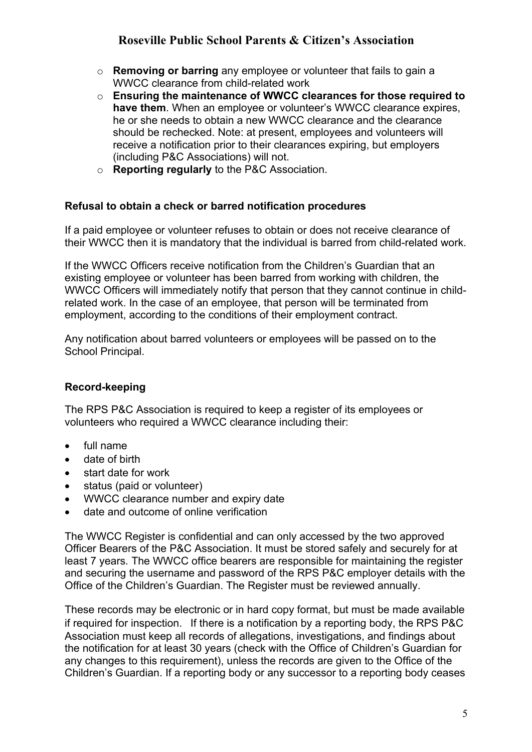- o **Removing or barring** any employee or volunteer that fails to gain a WWCC clearance from child-related work
- o **Ensuring the maintenance of WWCC clearances for those required to have them**. When an employee or volunteer's WWCC clearance expires, he or she needs to obtain a new WWCC clearance and the clearance should be rechecked. Note: at present, employees and volunteers will receive a notification prior to their clearances expiring, but employers (including P&C Associations) will not.
- o **Reporting regularly** to the P&C Association.

## **Refusal to obtain a check or barred notification procedures**

If a paid employee or volunteer refuses to obtain or does not receive clearance of their WWCC then it is mandatory that the individual is barred from child-related work.

If the WWCC Officers receive notification from the Children's Guardian that an existing employee or volunteer has been barred from working with children, the WWCC Officers will immediately notify that person that they cannot continue in childrelated work. In the case of an employee, that person will be terminated from employment, according to the conditions of their employment contract.

Any notification about barred volunteers or employees will be passed on to the School Principal.

## **Record-keeping**

The RPS P&C Association is required to keep a register of its employees or volunteers who required a WWCC clearance including their:

- full name
- date of birth
- start date for work
- status (paid or volunteer)
- WWCC clearance number and expiry date
- date and outcome of online verification

The WWCC Register is confidential and can only accessed by the two approved Officer Bearers of the P&C Association. It must be stored safely and securely for at least 7 years*.* The WWCC office bearers are responsible for maintaining the register and securing the username and password of the RPS P&C employer details with the Office of the Children's Guardian. The Register must be reviewed annually.

These records may be electronic or in hard copy format, but must be made available if required for inspection. If there is a notification by a reporting body, the RPS P&C Association must keep all records of allegations, investigations, and findings about the notification for at least 30 years (check with the Office of Children's Guardian for any changes to this requirement), unless the records are given to the Office of the Children's Guardian. If a reporting body or any successor to a reporting body ceases